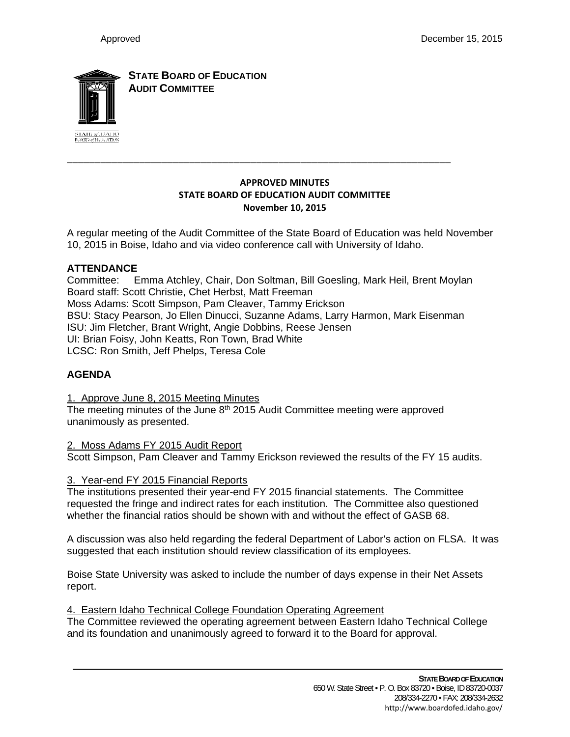

**STATE BOARD OF EDUCATION AUDIT COMMITTEE**

### **APPROVED MINUTES STATE BOARD OF EDUCATION AUDIT COMMITTEE November 10, 2015**

\_\_\_\_\_\_\_\_\_\_\_\_\_\_\_\_\_\_\_\_\_\_\_\_\_\_\_\_\_\_\_\_\_\_\_\_\_\_\_\_\_\_\_\_\_\_\_\_\_\_\_\_\_\_\_\_\_\_\_\_\_\_\_\_\_\_\_\_\_

A regular meeting of the Audit Committee of the State Board of Education was held November 10, 2015 in Boise, Idaho and via video conference call with University of Idaho.

## **ATTENDANCE**

Committee: Emma Atchley, Chair, Don Soltman, Bill Goesling, Mark Heil, Brent Moylan Board staff: Scott Christie, Chet Herbst, Matt Freeman Moss Adams: Scott Simpson, Pam Cleaver, Tammy Erickson BSU: Stacy Pearson, Jo Ellen Dinucci, Suzanne Adams, Larry Harmon, Mark Eisenman ISU: Jim Fletcher, Brant Wright, Angie Dobbins, Reese Jensen UI: Brian Foisy, John Keatts, Ron Town, Brad White LCSC: Ron Smith, Jeff Phelps, Teresa Cole

# **AGENDA**

1. Approve June 8, 2015 Meeting Minutes

The meeting minutes of the June 8<sup>th</sup> 2015 Audit Committee meeting were approved unanimously as presented.

2. Moss Adams FY 2015 Audit Report Scott Simpson, Pam Cleaver and Tammy Erickson reviewed the results of the FY 15 audits.

### 3. Year-end FY 2015 Financial Reports

The institutions presented their year-end FY 2015 financial statements. The Committee requested the fringe and indirect rates for each institution. The Committee also questioned whether the financial ratios should be shown with and without the effect of GASB 68.

A discussion was also held regarding the federal Department of Labor's action on FLSA. It was suggested that each institution should review classification of its employees.

Boise State University was asked to include the number of days expense in their Net Assets report.

### 4. Eastern Idaho Technical College Foundation Operating Agreement

The Committee reviewed the operating agreement between Eastern Idaho Technical College and its foundation and unanimously agreed to forward it to the Board for approval.